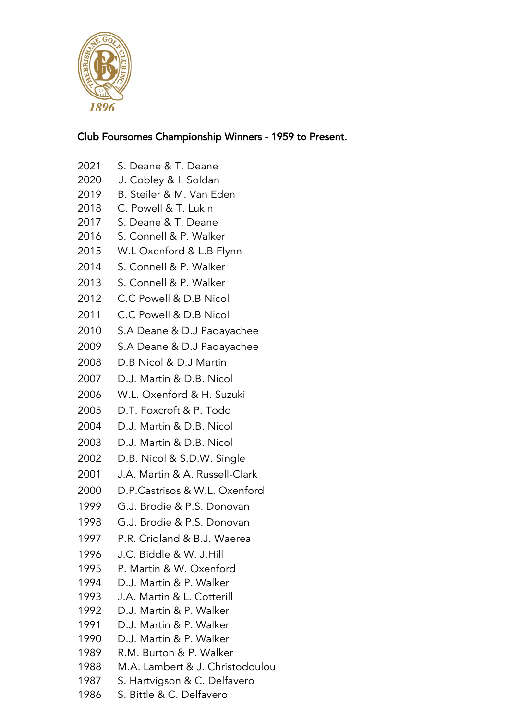

## Club Foursomes Championship Winners - 1959 to Present.

- S. Deane & T. Deane
- 2020 J. Cobley & I. Soldan
- B. Steiler & M. Van Eden
- C. Powell & T. Lukin
- S. Deane & T. Deane
- S. Connell & P. Walker
- W.L Oxenford & L.B Flynn
- S. Connell & P. Walker
- S. Connell & P. Walker
- C.C Powell & D.B Nicol
- 2011 C.C Powell & D.B Nicol
- S.A Deane & D.J Padayachee
- S.A Deane & D.J Padayachee
- D.B Nicol & D.J Martin
- D.J. Martin & D.B. Nicol
- W.L. Oxenford & H. Suzuki
- D.T. Foxcroft & P. Todd
- D.J. Martin & D.B. Nicol
- D.J. Martin & D.B. Nicol
- D.B. Nicol & S.D.W. Single
- J.A. Martin & A. Russell-Clark
- D.P.Castrisos & W.L. Oxenford
- G.J. Brodie & P.S. Donovan
- G.J. Brodie & P.S. Donovan
- P.R. Cridland & B.J. Waerea
- J.C. Biddle & W. J.Hill
- P. Martin & W. Oxenford
- D.J. Martin & P. Walker
- J.A. Martin & L. Cotterill
- D.J. Martin & P. Walker
- D.J. Martin & P. Walker
- D.J. Martin & P. Walker
- R.M. Burton & P. Walker
- M.A. Lambert & J. Christodoulou
- S. Hartvigson & C. Delfavero
- S. Bittle & C. Delfavero